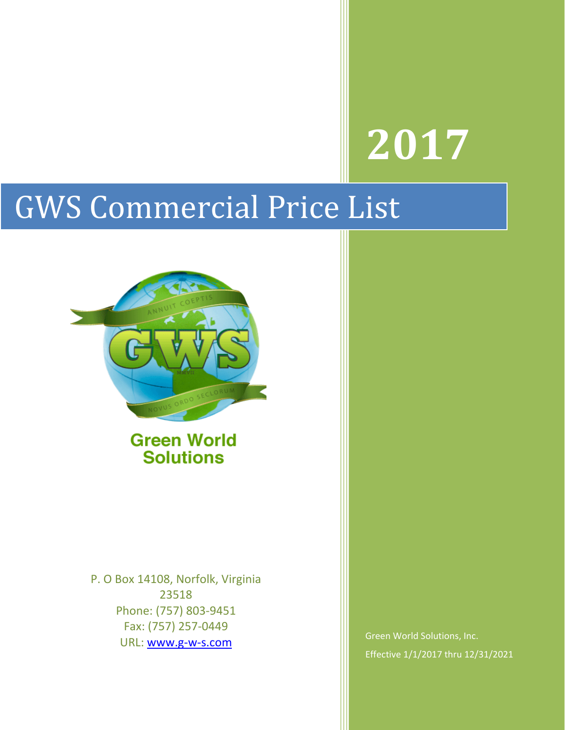# **2017**

# GWS Commercial Price List



**Green World Solutions** 

P. O Box 14108, Norfolk, Virginia 23518 Phone: (757) 803-9451 Fax: (757) 257-0449 URL: [www.g-w-s.com](http://www.g-w-s.com/)

Green World Solutions, Inc. Effective 1/1/2017 thru 12/31/2021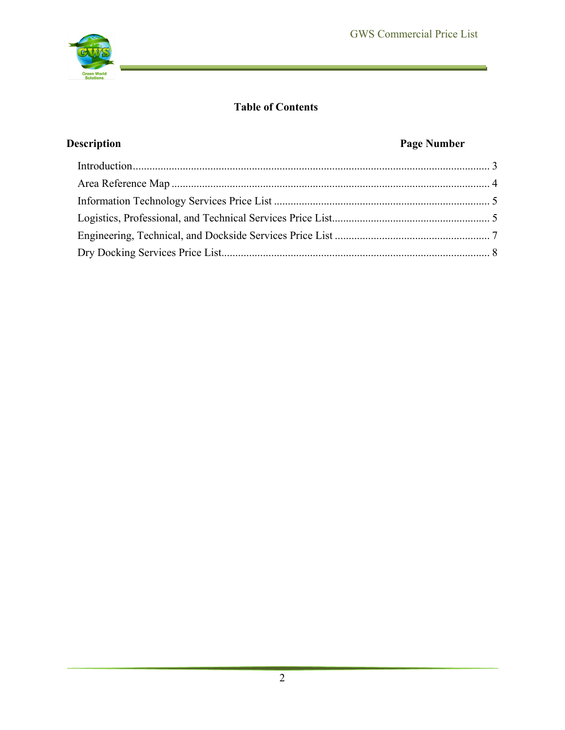

# **Table of Contents**

# **Description Page Number**

E,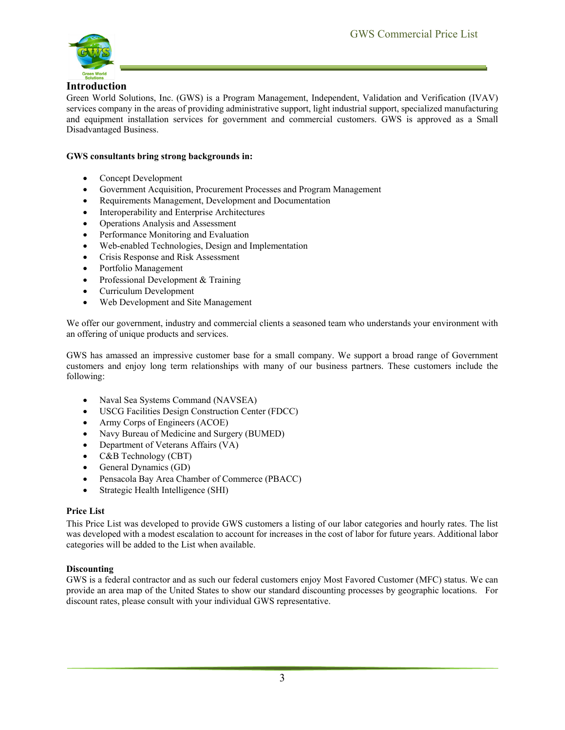

#### <span id="page-2-0"></span>**Introduction**

Green World Solutions, Inc. (GWS) is a Program Management, Independent, Validation and Verification (IVAV) services company in the areas of providing administrative support, light industrial support, specialized manufacturing and equipment installation services for government and commercial customers. GWS is approved as a Small Disadvantaged Business.

#### **GWS consultants bring strong backgrounds in:**

- Concept Development
- Government Acquisition, Procurement Processes and Program Management
- Requirements Management, Development and Documentation
- Interoperability and Enterprise Architectures
- Operations Analysis and Assessment
- Performance Monitoring and Evaluation
- Web-enabled Technologies, Design and Implementation
- Crisis Response and Risk Assessment
- Portfolio Management
- Professional Development & Training
- Curriculum Development
- Web Development and Site Management

We offer our government, industry and commercial clients a seasoned team who understands your environment with an offering of unique products and services.

GWS has amassed an impressive customer base for a small company. We support a broad range of Government customers and enjoy long term relationships with many of our business partners. These customers include the following:

- Naval Sea Systems Command (NAVSEA)
- USCG Facilities Design Construction Center (FDCC)
- Army Corps of Engineers (ACOE)
- Navy Bureau of Medicine and Surgery (BUMED)
- Department of Veterans Affairs (VA)
- C&B Technology (CBT)
- General Dynamics (GD)
- Pensacola Bay Area Chamber of Commerce (PBACC)
- Strategic Health Intelligence (SHI)

#### **Price List**

This Price List was developed to provide GWS customers a listing of our labor categories and hourly rates. The list was developed with a modest escalation to account for increases in the cost of labor for future years. Additional labor categories will be added to the List when available.

#### **Discounting**

GWS is a federal contractor and as such our federal customers enjoy Most Favored Customer (MFC) status. We can provide an area map of the United States to show our standard discounting processes by geographic locations. For discount rates, please consult with your individual GWS representative.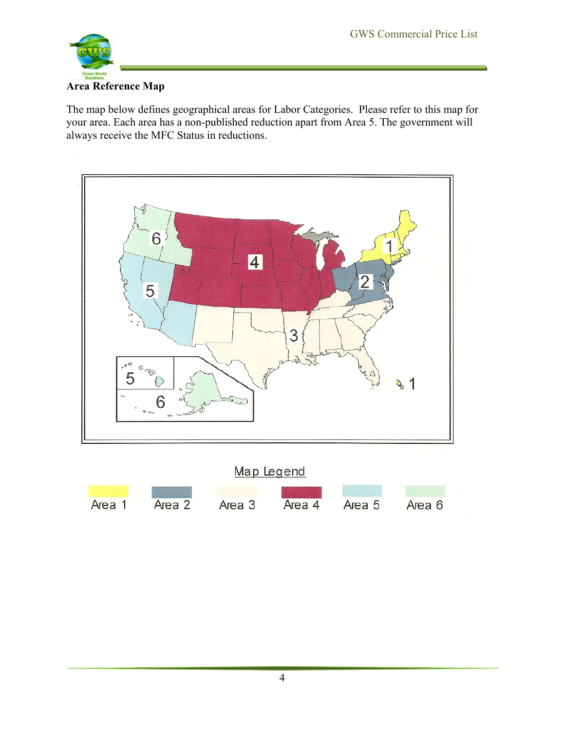

## <span id="page-3-0"></span>**Area Reference Map**

The map below defines geographical areas for Labor Categories. Please refer to this map for your area. Each area has a non-published reduction apart from Area 5. The government will always receive the MFC Status in reductions.

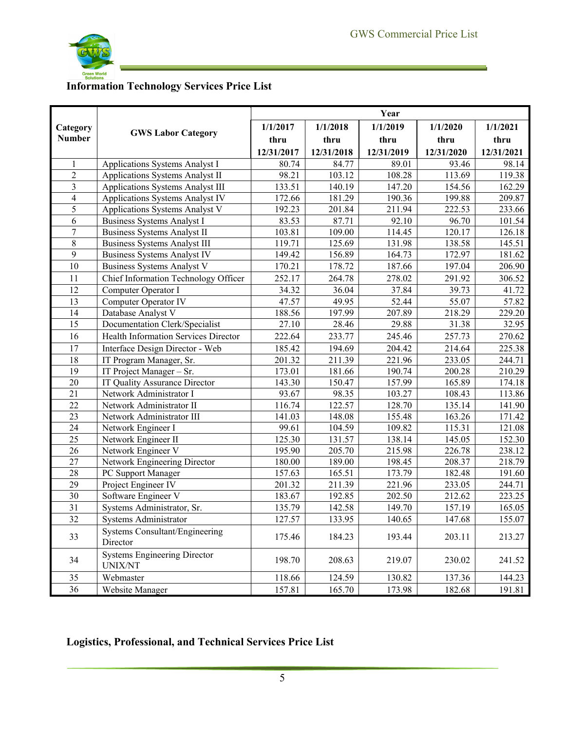E,



# <span id="page-4-0"></span>**Information Technology Services Price List**

|                 |                                                | Year                |            |            |            |            |  |  |
|-----------------|------------------------------------------------|---------------------|------------|------------|------------|------------|--|--|
| Category        |                                                | 1/1/2017            | 1/1/2018   | 1/1/2019   | 1/1/2020   | 1/1/2021   |  |  |
| <b>Number</b>   | <b>GWS Labor Category</b>                      | thru                | thru       | thru       | thru       | thru       |  |  |
|                 |                                                | 12/31/2017          | 12/31/2018 | 12/31/2019 | 12/31/2020 | 12/31/2021 |  |  |
| 1               | Applications Systems Analyst I                 | 80.74               | 84.77      | 89.01      | 93.46      | 98.14      |  |  |
| $\overline{c}$  | Applications Systems Analyst II                | 98.21               | 103.12     | 108.28     | 113.69     | 119.38     |  |  |
| 3               | Applications Systems Analyst III               | 133.51              | 140.19     | 147.20     | 154.56     | 162.29     |  |  |
| $\overline{4}$  | Applications Systems Analyst IV                | 172.66              | 181.29     | 190.36     | 199.88     | 209.87     |  |  |
| 5               | Applications Systems Analyst V                 | 192.23              | 201.84     | 211.94     | 222.53     | 233.66     |  |  |
| 6               | <b>Business Systems Analyst I</b>              | 83.53               | 87.71      | 92.10      | 96.70      | 101.54     |  |  |
| 7               | Business Systems Analyst II                    | 103.81              | 109.00     | 114.45     | 120.17     | 126.18     |  |  |
| 8               | <b>Business Systems Analyst III</b>            | 119.71              | 125.69     | 131.98     | 138.58     | 145.51     |  |  |
| 9               | <b>Business Systems Analyst IV</b>             | 149.42              | 156.89     | 164.73     | 172.97     | 181.62     |  |  |
| 10              | Business Systems Analyst V                     | 170.21              | 178.72     | 187.66     | 197.04     | 206.90     |  |  |
| 11              | Chief Information Technology Officer           | 252.17              | 264.78     | 278.02     | 291.92     | 306.52     |  |  |
| 12              | Computer Operator I                            | 34.32               | 36.04      | 37.84      | 39.73      | 41.72      |  |  |
| 13              | Computer Operator IV                           | 47.57               | 49.95      | 52.44      | 55.07      | 57.82      |  |  |
| 14              | Database Analyst V                             | 188.56              | 197.99     | 207.89     | 218.29     | 229.20     |  |  |
| 15              | Documentation Clerk/Specialist                 | 27.10               | 28.46      | 29.88      | 31.38      | 32.95      |  |  |
| 16              | Health Information Services Director           | 222.64              | 233.77     | 245.46     | 257.73     | 270.62     |  |  |
| 17              | Interface Design Director - Web                | 185.42              | 194.69     | 204.42     | 214.64     | 225.38     |  |  |
| 18              | IT Program Manager, Sr.                        | 201.32              | 211.39     | 221.96     | 233.05     | 244.71     |  |  |
| 19              | IT Project Manager - Sr.                       | 173.01              | 181.66     | 190.74     | 200.28     | 210.29     |  |  |
| 20              | IT Quality Assurance Director                  | 143.30              | 150.47     | 157.99     | 165.89     | 174.18     |  |  |
| 21              | Network Administrator I                        | 93.67               | 98.35      | 103.27     | 108.43     | 113.86     |  |  |
| $\overline{22}$ | Network Administrator II                       | $\overline{116.74}$ | 122.57     | 128.70     | 135.14     | 141.90     |  |  |
| 23              | Network Administrator III                      | 141.03              | 148.08     | 155.48     | 163.26     | 171.42     |  |  |
| 24              | Network Engineer I                             | 99.61               | 104.59     | 109.82     | 115.31     | 121.08     |  |  |
| 25              | Network Engineer II                            | 125.30              | 131.57     | 138.14     | 145.05     | 152.30     |  |  |
| 26              | Network Engineer V                             | 195.90              | 205.70     | 215.98     | 226.78     | 238.12     |  |  |
| 27              | Network Engineering Director                   | 180.00              | 189.00     | 198.45     | 208.37     | 218.79     |  |  |
| 28              | PC Support Manager                             | 157.63              | 165.51     | 173.79     | 182.48     | 191.60     |  |  |
| 29              | Project Engineer IV                            | 201.32              | 211.39     | 221.96     | 233.05     | 244.71     |  |  |
| 30              | Software Engineer V                            | 183.67              | 192.85     | 202.50     | 212.62     | 223.25     |  |  |
| 31              | Systems Administrator, Sr.                     | 135.79              | 142.58     | 149.70     | 157.19     | 165.05     |  |  |
| 32              | Systems Administrator                          | 127.57              | 133.95     | 140.65     | 147.68     | 155.07     |  |  |
| 33              | Systems Consultant/Engineering<br>Director     | 175.46              | 184.23     | 193.44     | 203.11     | 213.27     |  |  |
| 34              | <b>Systems Engineering Director</b><br>UNIX/NT | 198.70              | 208.63     | 219.07     | 230.02     | 241.52     |  |  |
| 35              | Webmaster                                      | 118.66              | 124.59     | 130.82     | 137.36     | 144.23     |  |  |
| 36              | Website Manager                                | 157.81              | 165.70     | 173.98     | 182.68     | 191.81     |  |  |

# <span id="page-4-1"></span>**Logistics, Professional, and Technical Services Price List**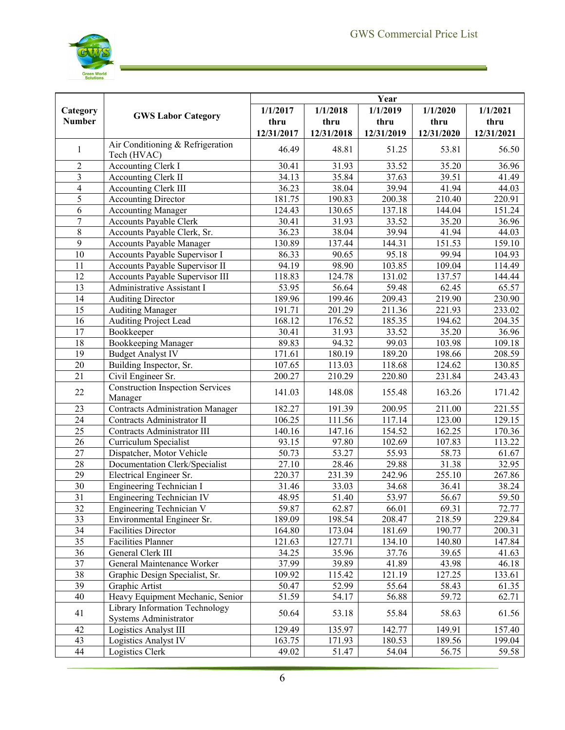J.



|                |                                                         | Year       |                   |            |            |            |  |
|----------------|---------------------------------------------------------|------------|-------------------|------------|------------|------------|--|
| Category       |                                                         | 1/1/2017   | 1/1/2018          | 1/1/2019   | 1/1/2020   | 1/1/2021   |  |
| <b>Number</b>  | <b>GWS Labor Category</b>                               | thru       | thru              | thru       | thru       | thru       |  |
|                |                                                         | 12/31/2017 | 12/31/2018        | 12/31/2019 | 12/31/2020 | 12/31/2021 |  |
| 1              | Air Conditioning & Refrigeration<br>Tech (HVAC)         | 46.49      | 48.81             | 51.25      | 53.81      | 56.50      |  |
| $\overline{2}$ | <b>Accounting Clerk I</b>                               | 30.41      | 31.93             | 33.52      | 35.20      | 36.96      |  |
| 3              | Accounting Clerk II                                     | 34.13      | 35.84             | 37.63      | 39.51      | 41.49      |  |
| $\overline{4}$ | <b>Accounting Clerk III</b>                             | 36.23      | 38.04             | 39.94      | 41.94      | 44.03      |  |
| $\overline{5}$ | <b>Accounting Director</b>                              | 181.75     | 190.83            | 200.38     | 210.40     | 220.91     |  |
| $\sqrt{6}$     | <b>Accounting Manager</b>                               | 124.43     | 130.65            | 137.18     | 144.04     | 151.24     |  |
| $\overline{7}$ | Accounts Payable Clerk                                  | 30.41      | 31.93             | 33.52      | 35.20      | 36.96      |  |
| $8\,$          | Accounts Payable Clerk, Sr.                             | 36.23      | 38.04             | 39.94      | 41.94      | 44.03      |  |
| $\overline{9}$ | Accounts Payable Manager                                | 130.89     | 137.44            | 144.31     | 151.53     | 159.10     |  |
| 10             | Accounts Payable Supervisor I                           | 86.33      | 90.65             | 95.18      | 99.94      | 104.93     |  |
| 11             | Accounts Payable Supervisor II                          | 94.19      | $\frac{1}{98.90}$ | 103.85     | 109.04     | 114.49     |  |
| 12             | Accounts Payable Supervisor III                         | 118.83     | 124.78            | 131.02     | 137.57     | 144.44     |  |
| 13             | Administrative Assistant I                              | 53.95      | 56.64             | 59.48      | 62.45      | 65.57      |  |
| 14             | <b>Auditing Director</b>                                | 189.96     | 199.46            | 209.43     | 219.90     | 230.90     |  |
| 15             | <b>Auditing Manager</b>                                 | 191.71     | 201.29            | 211.36     | 221.93     | 233.02     |  |
| 16             | Auditing Project Lead                                   | 168.12     | 176.52            | 185.35     | 194.62     | 204.35     |  |
| 17             | Bookkeeper                                              | 30.41      | 31.93             | 33.52      | 35.20      | 36.96      |  |
| 18             | <b>Bookkeeping Manager</b>                              | 89.83      | 94.32             | 99.03      | 103.98     | 109.18     |  |
| 19             | <b>Budget Analyst IV</b>                                | 171.61     | 180.19            | 189.20     | 198.66     | 208.59     |  |
| 20             | Building Inspector, Sr.                                 | 107.65     | 113.03            | 118.68     | 124.62     | 130.85     |  |
| 21             | Civil Engineer Sr.                                      | 200.27     | 210.29            | 220.80     | 231.84     | 243.43     |  |
| 22             | <b>Construction Inspection Services</b><br>Manager      | 141.03     | 148.08            | 155.48     | 163.26     | 171.42     |  |
| 23             | <b>Contracts Administration Manager</b>                 | 182.27     | 191.39            | 200.95     | 211.00     | 221.55     |  |
| 24             | Contracts Administrator II                              | 106.25     | 111.56            | 117.14     | 123.00     | 129.15     |  |
| 25             | Contracts Administrator III                             | 140.16     | 147.16            | 154.52     | 162.25     | 170.36     |  |
| 26             | Curriculum Specialist                                   | 93.15      | 97.80             | 102.69     | 107.83     | 113.22     |  |
| 27             | Dispatcher, Motor Vehicle                               | 50.73      | 53.27             | 55.93      | 58.73      | 61.67      |  |
| 28             | Documentation Clerk/Specialist                          | 27.10      | 28.46             | 29.88      | 31.38      | 32.95      |  |
| 29             | Electrical Engineer Sr.                                 | 220.37     | 231.39            | 242.96     | 255.10     | 267.86     |  |
| 30             | Engineering Technician I                                | 31.46      | 33.03             | 34.68      | 36.41      | 38.24      |  |
| 31             | Engineering Technician IV                               | 48.95      | 51.40             | 53.97      | 56.67      | 59.50      |  |
| 32             | Engineering Technician V                                | 59.87      | 62.87             | 66.01      | 69.31      | 72.77      |  |
| 33             | Environmental Engineer Sr.                              | 189.09     | 198.54            | 208.47     | 218.59     | 229.84     |  |
| 34             | <b>Facilities Director</b>                              | 164.80     | 173.04            | 181.69     | 190.77     | 200.31     |  |
| 35             | Facilities Planner                                      | 121.63     | 127.71            | 134.10     | 140.80     | 147.84     |  |
| 36             | General Clerk III                                       | 34.25      | 35.96             | 37.76      | 39.65      | 41.63      |  |
| 37             | General Maintenance Worker                              | 37.99      | 39.89             | 41.89      | 43.98      | 46.18      |  |
| 38             | Graphic Design Specialist, Sr.                          | 109.92     | 115.42            | 121.19     | 127.25     | 133.61     |  |
| 39             | Graphic Artist                                          | 50.47      | 52.99             | 55.64      | 58.43      | 61.35      |  |
| 40             | Heavy Equipment Mechanic, Senior                        | 51.59      | 54.17             | 56.88      | 59.72      | 62.71      |  |
| 41             | Library Information Technology<br>Systems Administrator | 50.64      | 53.18             | 55.84      | 58.63      | 61.56      |  |
| 42             | Logistics Analyst III                                   | 129.49     | 135.97            | 142.77     | 149.91     | 157.40     |  |
| 43             | Logistics Analyst IV                                    | 163.75     | 171.93            | 180.53     | 189.56     | 199.04     |  |
| 44             | Logistics Clerk                                         | 49.02      | 51.47             | 54.04      | 56.75      | 59.58      |  |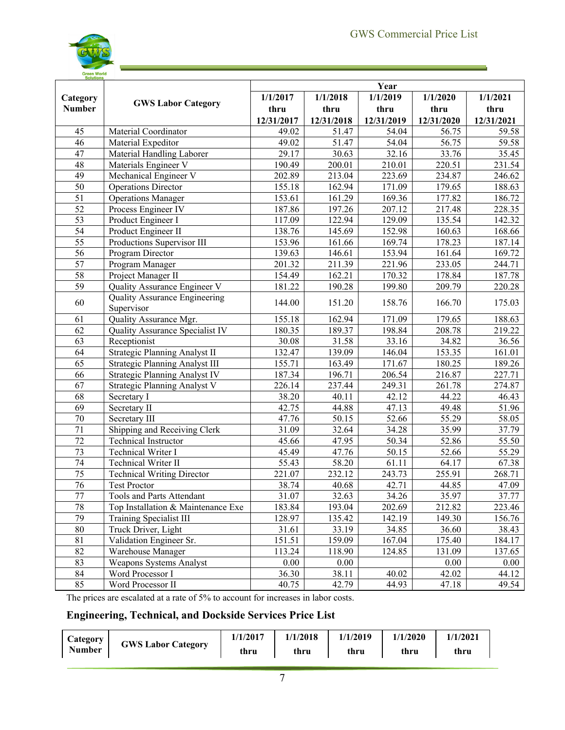

| <b>Solutions</b> |                                                    | Year       |                      |                     |                    |            |  |
|------------------|----------------------------------------------------|------------|----------------------|---------------------|--------------------|------------|--|
| Category         |                                                    | 1/1/2017   | 1/1/2018             | 1/1/2019            | 1/1/2020           | 1/1/2021   |  |
| <b>Number</b>    | <b>GWS Labor Category</b>                          | thru       | thru                 | thru                | thru               | thru       |  |
|                  |                                                    | 12/31/2017 | 12/31/2018           | 12/31/2019          | 12/31/2020         | 12/31/2021 |  |
| 45               | Material Coordinator                               | 49.02      | 51.47                | 54.04               | 56.75              | 59.58      |  |
| 46               | Material Expeditor                                 | 49.02      | 51.47                | 54.04               | 56.75              | 59.58      |  |
| 47               | Material Handling Laborer                          | 29.17      | 30.63                | 32.16               | 33.76              | 35.45      |  |
| 48               | Materials Engineer V                               | 190.49     | 200.01               | 210.01              | 220.51             | 231.54     |  |
| 49               | Mechanical Engineer V                              | 202.89     | 213.04               | 223.69              | 234.87             | 246.62     |  |
| $\overline{50}$  | <b>Operations Director</b>                         | 155.18     | 162.94               | 171.09              | 179.65             | 188.63     |  |
| $\overline{51}$  | <b>Operations Manager</b>                          | 153.61     | 161.29               | 169.36              | 177.82             | 186.72     |  |
| $\overline{52}$  | Process Engineer IV                                | 187.86     | 197.26               | 207.12              | 217.48             | 228.35     |  |
| $\overline{53}$  | Product Engineer I                                 | 117.09     | 122.94               | 129.09              | 135.54             | 142.32     |  |
| 54               | Product Engineer II                                | 138.76     | 145.69               | 152.98              | 160.63             | 168.66     |  |
| $\overline{55}$  | Productions Supervisor III                         | 153.96     | 161.66               | 169.74              | 178.23             | 187.14     |  |
| $\overline{56}$  | Program Director                                   | 139.63     | 146.61               | 153.94              | 161.64             | 169.72     |  |
| $\overline{57}$  | Program Manager                                    | 201.32     | 211.39               | 221.96              | 233.05             | 244.71     |  |
| 58               | Project Manager II                                 | 154.49     | 162.21               | 170.32              | 178.84             | 187.78     |  |
| $\overline{59}$  | Quality Assurance Engineer V                       | 181.22     | 190.28               | 199.80              | 209.79             | 220.28     |  |
| 60               | <b>Quality Assurance Engineering</b><br>Supervisor | 144.00     | 151.20               | 158.76              | 166.70             | 175.03     |  |
| 61               | Quality Assurance Mgr.                             | 155.18     | $\overline{1}$ 62.94 | 171.09              | 179.65             | 188.63     |  |
| $\overline{62}$  | Quality Assurance Specialist IV                    | 180.35     | 189.37               | 198.84              | 208.78             | 219.22     |  |
| 63               | Receptionist                                       | 30.08      | 31.58                | 33.16               | 34.82              | 36.56      |  |
| 64               | Strategic Planning Analyst II                      | 132.47     | 139.09               | 146.04              | 153.35             | 161.01     |  |
| 65               | Strategic Planning Analyst III                     | 155.71     | 163.49               | 171.67              | 180.25             | 189.26     |  |
| 66               | Strategic Planning Analyst IV                      | 187.34     | 196.71               | 206.54              | 216.87             | 227.71     |  |
| 67               | Strategic Planning Analyst V                       | 226.14     | 237.44               | 249.31              | 261.78             | 274.87     |  |
| 68               | Secretary I                                        | 38.20      | 40.11                | 42.12               | 44.22              | 46.43      |  |
| 69               | Secretary II                                       | 42.75      | 44.88                | 47.13               | 49.48              | 51.96      |  |
| 70               | Secretary III                                      | 47.76      | 50.15                | 52.66               | 55.29              | 58.05      |  |
| $\overline{71}$  | Shipping and Receiving Clerk                       | 31.09      | 32.64                | 34.28               | 35.99              | 37.79      |  |
| $\overline{72}$  | <b>Technical Instructor</b>                        | 45.66      | 47.95                | 50.34               | $\overline{52.86}$ | 55.50      |  |
| $\overline{73}$  | Technical Writer I                                 | 45.49      | 47.76                | 50.15               | 52.66              | 55.29      |  |
| 74               | Technical Writer II                                | 55.43      | 58.20                | 61.11               | 64.17              | 67.38      |  |
| 75               | <b>Technical Writing Director</b>                  | 221.07     | 232.12               | 243.73              | 255.91             | 268.71     |  |
| 76               | <b>Test Proctor</b>                                | 38.74      | 40.68                | $\overline{4}$ 2.71 | 44.85              | 47.09      |  |
| 77               | Tools and Parts Attendant                          | 31.07      | 32.63                | 34.26               | 35.97              | 37.77      |  |
| 78               | Top Installation & Maintenance Exe                 | 183.84     | 193.04               | 202.69              | 212.82             | 223.46     |  |
| 79               | Training Specialist III                            | 128.97     | 135.42               | 142.19              | 149.30             | 156.76     |  |
| $80\,$           | Truck Driver, Light                                | 31.61      | 33.19                | 34.85               | 36.60              | 38.43      |  |
| 81               | Validation Engineer Sr.                            | 151.51     | 159.09               | 167.04              | 175.40             | 184.17     |  |
| $\overline{82}$  | Warehouse Manager                                  | 113.24     | 118.90               | 124.85              | 131.09             | 137.65     |  |
| 83               | Weapons Systems Analyst                            | 0.00       | 0.00                 |                     | 0.00               | 0.00       |  |
| 84               | Word Processor I                                   | 36.30      | 38.11                | 40.02               | 42.02              | 44.12      |  |
| 85               | Word Processor II                                  | 40.75      | 42.79                | 44.93               | 47.18              | 49.54      |  |

The prices are escalated at a rate of 5% to account for increases in labor costs.

# <span id="page-6-0"></span>**Engineering, Technical, and Dockside Services Price List**

| Category      | <b>GWS Labor Category</b> | 1/1/2017 | 1/1/2018 | 1/1/2019 | 1/1/2020 | 1/1/2021 |
|---------------|---------------------------|----------|----------|----------|----------|----------|
| <b>Number</b> |                           | thru     | thru     | thru     | thru     | thru     |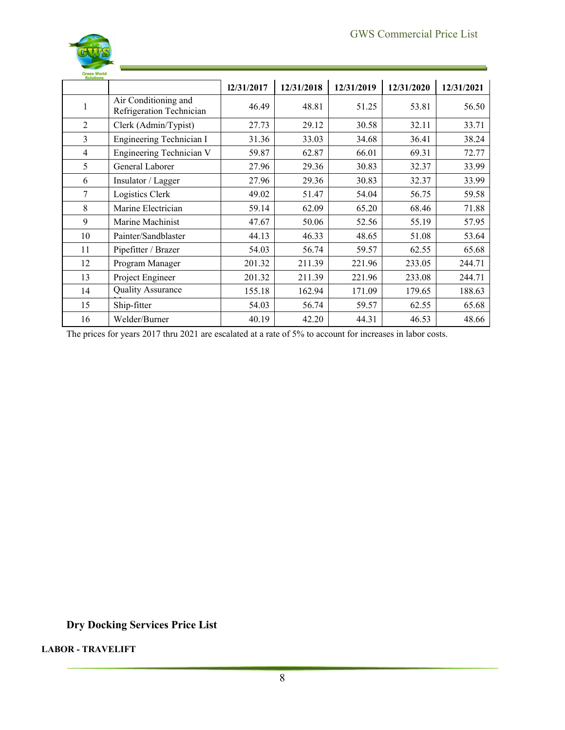

| Green World<br>Solutions |                                                  |            |            |            |            |            |
|--------------------------|--------------------------------------------------|------------|------------|------------|------------|------------|
|                          |                                                  | 12/31/2017 | 12/31/2018 | 12/31/2019 | 12/31/2020 | 12/31/2021 |
| J.                       | Air Conditioning and<br>Refrigeration Technician | 46.49      | 48.81      | 51.25      | 53.81      | 56.50      |
| $\overline{2}$           | Clerk (Admin/Typist)                             | 27.73      | 29.12      | 30.58      | 32.11      | 33.71      |
| 3                        | Engineering Technician I                         | 31.36      | 33.03      | 34.68      | 36.41      | 38.24      |
| 4                        | Engineering Technician V                         | 59.87      | 62.87      | 66.01      | 69.31      | 72.77      |
| 5                        | General Laborer                                  | 27.96      | 29.36      | 30.83      | 32.37      | 33.99      |
| 6                        | Insulator / Lagger                               | 27.96      | 29.36      | 30.83      | 32.37      | 33.99      |
| 7                        | Logistics Clerk                                  | 49.02      | 51.47      | 54.04      | 56.75      | 59.58      |
| 8                        | Marine Electrician                               | 59.14      | 62.09      | 65.20      | 68.46      | 71.88      |
| 9                        | Marine Machinist                                 | 47.67      | 50.06      | 52.56      | 55.19      | 57.95      |
| 10                       | Painter/Sandblaster                              | 44.13      | 46.33      | 48.65      | 51.08      | 53.64      |
| 11                       | Pipefitter / Brazer                              | 54.03      | 56.74      | 59.57      | 62.55      | 65.68      |
| 12                       | Program Manager                                  | 201.32     | 211.39     | 221.96     | 233.05     | 244.71     |
| 13                       | Project Engineer                                 | 201.32     | 211.39     | 221.96     | 233.08     | 244.71     |
| 14                       | <b>Quality Assurance</b>                         | 155.18     | 162.94     | 171.09     | 179.65     | 188.63     |
| 15                       | Ship-fitter                                      | 54.03      | 56.74      | 59.57      | 62.55      | 65.68      |
| 16                       | Welder/Burner                                    | 40.19      | 42.20      | 44.31      | 46.53      | 48.66      |

The prices for years 2017 thru 2021 are escalated at a rate of 5% to account for increases in labor costs.

<span id="page-7-0"></span>**Dry Docking Services Price List**

**LABOR - TRAVELIFT**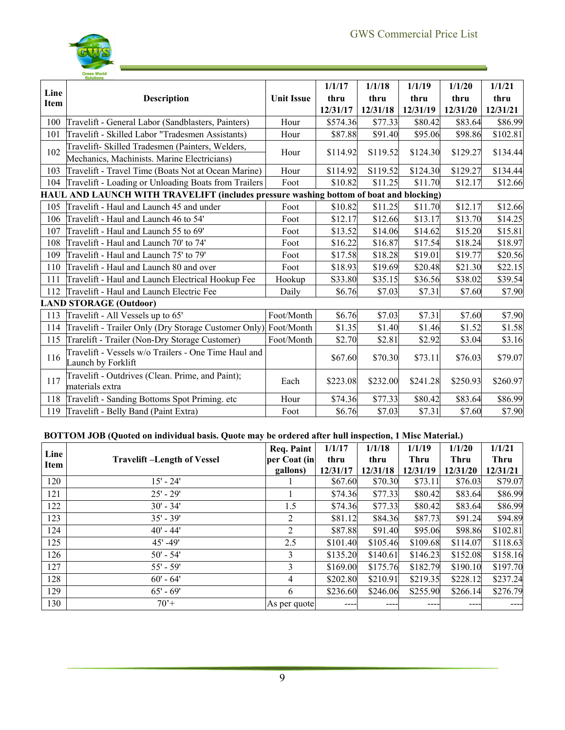s,



|             | Green World<br>Solutions                                                               |                   |          |                     |          |          |          |  |
|-------------|----------------------------------------------------------------------------------------|-------------------|----------|---------------------|----------|----------|----------|--|
| Line        |                                                                                        |                   | 1/1/17   | 1/1/18              | 1/1/19   | 1/1/20   | 1/1/21   |  |
| <b>Item</b> | <b>Description</b>                                                                     | <b>Unit Issue</b> | thru     | thru                | thru     | thru     | thru     |  |
|             |                                                                                        |                   | 12/31/17 | 12/31/18            | 12/31/19 | 12/31/20 | 12/31/21 |  |
| 100         | Travelift - General Labor (Sandblasters, Painters)                                     | Hour              | \$574.36 | \$77.33             | \$80.42  | \$83.64  | \$86.99  |  |
| 101         | Travelift - Skilled Labor "Tradesmen Assistants)                                       | Hour              | \$87.88  | \$91.40             | \$95.06  | \$98.86  | \$102.81 |  |
| 102         | Travelift- Skilled Tradesmen (Painters, Welders,                                       | Hour              | \$114.92 | S <sub>119.52</sub> | \$124.30 | \$129.27 | \$134.44 |  |
|             | Mechanics, Machinists. Marine Electricians)                                            |                   |          |                     |          |          |          |  |
| 103         | Travelift - Travel Time (Boats Not at Ocean Marine)                                    | Hour              | \$114.92 | S119.52             | \$124.30 | \$129.27 | \$134.44 |  |
| 104         | Travelift - Loading or Unloading Boats from Trailers                                   | Foot              | \$10.82  | \$11.25             | \$11.70  | \$12.17  | \$12.66  |  |
|             | HAUL AND LAUNCH WITH TRAVELIFT (includes pressure washing bottom of boat and blocking) |                   |          |                     |          |          |          |  |
| 105         | Travelift - Haul and Launch 45 and under                                               | Foot              | \$10.82  | \$11.25             | \$11.70  | \$12.17  | \$12.66  |  |
| 106         | Travelift - Haul and Launch 46 to 54'                                                  | Foot              | \$12.17  | \$12.66             | \$13.17  | \$13.70  | \$14.25  |  |
| 107         | Travelift - Haul and Launch 55 to 69'                                                  | Foot              | \$13.52  | \$14.06             | \$14.62  | \$15.20  | \$15.81  |  |
| 108         | Travelift - Haul and Launch 70' to 74'                                                 | Foot              | \$16.22  | \$16.87             | \$17.54  | \$18.24  | \$18.97  |  |
| 109         | Travelift - Haul and Launch 75' to 79'                                                 | Foot              | \$17.58  | \$18.28             | \$19.01  | \$19.77  | \$20.56  |  |
| 110         | Travelift - Haul and Launch 80 and over                                                | Foot              | \$18.93  | \$19.69             | \$20.48  | \$21.30  | \$22.15  |  |
| 111         | Travelift - Haul and Launch Electrical Hookup Fee                                      | Hookup            | S33.80   | \$35.15             | \$36.56  | \$38.02  | \$39.54  |  |
| 112         | Travelift - Haul and Launch Electric Fee                                               | Daily             | \$6.76   | \$7.03              | \$7.31   | \$7.60   | \$7.90   |  |
|             | <b>LAND STORAGE (Outdoor)</b>                                                          |                   |          |                     |          |          |          |  |
| 113         | Travelift - All Vessels up to 65'                                                      | Foot/Month        | \$6.76   | \$7.03              | \$7.31   | \$7.60   | \$7.90   |  |
| 114         | Travelift - Trailer Only (Dry Storage Customer Only)                                   | Foot/Month        | \$1.35   | \$1.40              | \$1.46   | \$1.52   | \$1.58   |  |
| 115         | Trarelift - Trailer (Non-Dry Storage Customer)                                         | Foot/Month        | \$2.70   | \$2.81              | \$2.92   | \$3.04   | \$3.16   |  |
| 116         | Travelift - Vessels w/o Trailers - One Time Haul and<br>Launch by Forklift             |                   | \$67.60  | \$70.30             | \$73.11  | \$76.03  | \$79.07  |  |
| 117         | Travelift - Outdrives (Clean. Prime, and Paint);<br>materials extra                    | Each              | \$223.08 | \$232.00            | \$241.28 | \$250.93 | \$260.97 |  |
| 118         | Travelift - Sanding Bottoms Spot Priming. etc                                          | Hour              | \$74.36  | \$77.33             | \$80.42  | \$83.64  | \$86.99  |  |
| 119         | Travelift - Belly Band (Paint Extra)                                                   | Foot              | \$6.76   | \$7.03              | \$7.31   | \$7.60   | \$7.90   |  |

### **BOTTOM JOB (Quoted on individual basis. Quote may be ordered after hull inspection, 1 Misc Material.)**

| Line |                                   | <b>Req. Paint</b> | 1/1/17   | 1/1/18   | 1/1/19   | 1/1/20   | 1/1/21   |
|------|-----------------------------------|-------------------|----------|----------|----------|----------|----------|
| Item | <b>Travelift-Length of Vessel</b> | per Coat (in      | thru     | thru     | Thru     | Thru     | Thru     |
|      |                                   | gallons)          | 12/31/17 | 12/31/18 | 12/31/19 | 12/31/20 | 12/31/21 |
| 120  | $15' - 24'$                       |                   | \$67.60  | \$70.30  | \$73.11  | \$76.03  | S79.07   |
| 121  | $25' - 29'$                       |                   | \$74.36  | \$77.33  | \$80.42  | \$83.64  | \$86.99  |
| 122  | $30' - 34'$                       | 1.5               | \$74.36  | \$77.33  | \$80.42  | \$83.64  | \$86.99  |
| 123  | $35' - 39'$                       | 2                 | \$81.12  | \$84.36  | \$87.73  | \$91.24  | \$94.89  |
| 124  | $40' - 44'$                       | 2                 | \$87.88  | \$91.40  | \$95.06  | \$98.86  | \$102.81 |
| 125  | $45' - 49'$                       | 2.5               | \$101.40 | \$105.46 | \$109.68 | \$114.07 | \$118.63 |
| 126  | $50' - 54'$                       | 3                 | \$135.20 | \$140.61 | \$146.23 | \$152.08 | \$158.16 |
| 127  | $55' - 59'$                       | 3                 | \$169.00 | \$175.76 | \$182.79 | \$190.10 | \$197.70 |
| 128  | $60' - 64'$                       | 4                 | \$202.80 | \$210.91 | \$219.35 | \$228.12 | \$237.24 |
| 129  | $65' - 69'$                       | 6                 | \$236.60 | \$246.06 | S255.90  | \$266.14 | \$276.79 |
| 130  | $70+$                             | As per quote      | ----     | ---      | ----     | ----     | ----     |